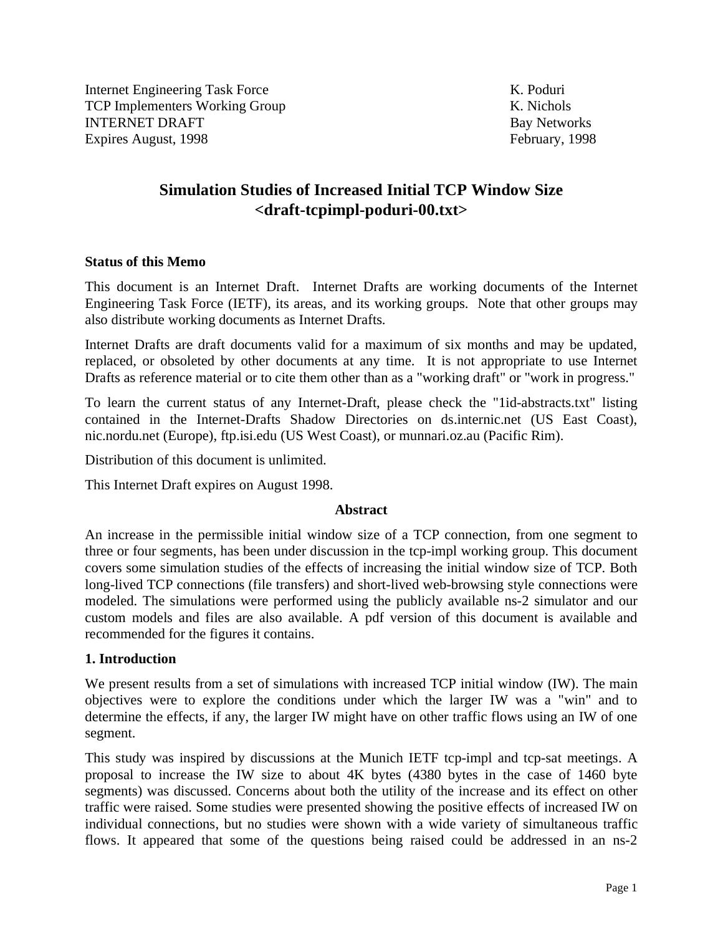Internet Engineering Task Force K. Poduri TCP Implementers Working Group K. Nichols **INTERNET DRAFT** Bay Networks Expires August, 1998 February, 1998

# **Simulation Studies of Increased Initial TCP Window Size <draft-tcpimpl-poduri-00.txt>**

#### **Status of this Memo**

This document is an Internet Draft. Internet Drafts are working documents of the Internet Engineering Task Force (IETF), its areas, and its working groups. Note that other groups may also distribute working documents as Internet Drafts.

Internet Drafts are draft documents valid for a maximum of six months and may be updated, replaced, or obsoleted by other documents at any time. It is not appropriate to use Internet Drafts as reference material or to cite them other than as a "working draft" or "work in progress."

To learn the current status of any Internet-Draft, please check the "1id-abstracts.txt" listing contained in the Internet-Drafts Shadow Directories on ds.internic.net (US East Coast), nic.nordu.net (Europe), ftp.isi.edu (US West Coast), or munnari.oz.au (Pacific Rim).

Distribution of this document is unlimited.

This Internet Draft expires on August 1998.

## **Abstract**

An increase in the permissible initial window size of a TCP connection, from one segment to three or four segments, has been under discussion in the tcp-impl working group. This document covers some simulation studies of the effects of increasing the initial window size of TCP. Both long-lived TCP connections (file transfers) and short-lived web-browsing style connections were modeled. The simulations were performed using the publicly available ns-2 simulator and our custom models and files are also available. A pdf version of this document is available and recommended for the figures it contains.

## **1. Introduction**

We present results from a set of simulations with increased TCP initial window (IW). The main objectives were to explore the conditions under which the larger IW was a "win" and to determine the effects, if any, the larger IW might have on other traffic flows using an IW of one segment.

This study was inspired by discussions at the Munich IETF tcp-impl and tcp-sat meetings. A proposal to increase the IW size to about 4K bytes (4380 bytes in the case of 1460 byte segments) was discussed. Concerns about both the utility of the increase and its effect on other traffic were raised. Some studies were presented showing the positive effects of increased IW on individual connections, but no studies were shown with a wide variety of simultaneous traffic flows. It appeared that some of the questions being raised could be addressed in an ns-2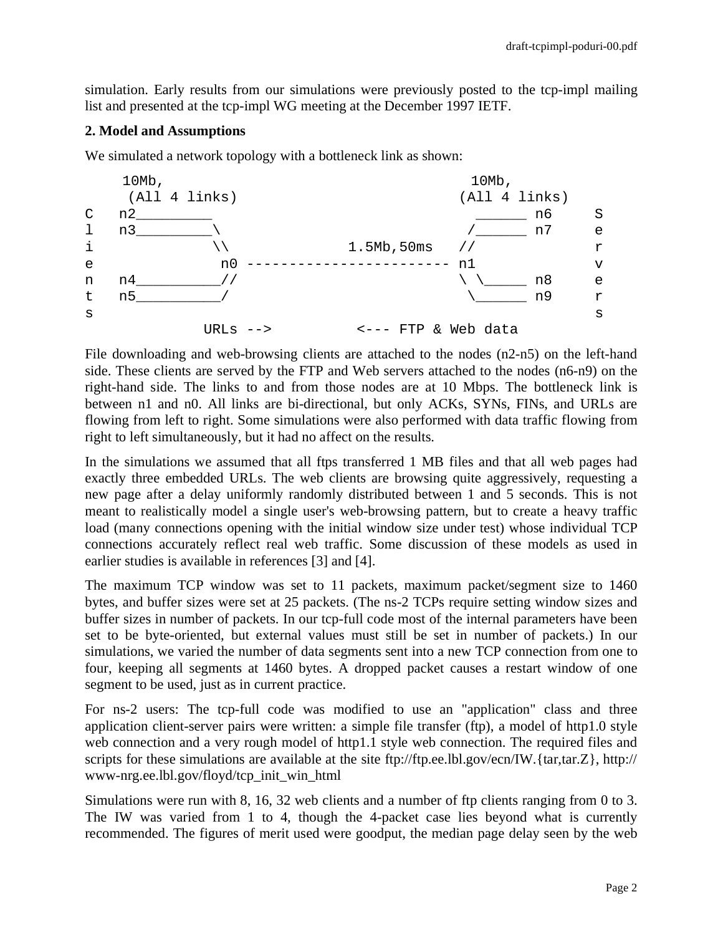simulation. Early results from our simulations were previously posted to the tcp-impl mailing list and presented at the tcp-impl WG meeting at the December 1997 IETF.

## **2. Model and Assumptions**

We simulated a network topology with a bottleneck link as shown:



File downloading and web-browsing clients are attached to the nodes (n2-n5) on the left-hand side. These clients are served by the FTP and Web servers attached to the nodes (n6-n9) on the right-hand side. The links to and from those nodes are at 10 Mbps. The bottleneck link is between n1 and n0. All links are bi-directional, but only ACKs, SYNs, FINs, and URLs are flowing from left to right. Some simulations were also performed with data traffic flowing from right to left simultaneously, but it had no affect on the results.

In the simulations we assumed that all ftps transferred 1 MB files and that all web pages had exactly three embedded URLs. The web clients are browsing quite aggressively, requesting a new page after a delay uniformly randomly distributed between 1 and 5 seconds. This is not meant to realistically model a single user's web-browsing pattern, but to create a heavy traffic load (many connections opening with the initial window size under test) whose individual TCP connections accurately reflect real web traffic. Some discussion of these models as used in earlier studies is available in references [3] and [4].

The maximum TCP window was set to 11 packets, maximum packet/segment size to 1460 bytes, and buffer sizes were set at 25 packets. (The ns-2 TCPs require setting window sizes and buffer sizes in number of packets. In our tcp-full code most of the internal parameters have been set to be byte-oriented, but external values must still be set in number of packets.) In our simulations, we varied the number of data segments sent into a new TCP connection from one to four, keeping all segments at 1460 bytes. A dropped packet causes a restart window of one segment to be used, just as in current practice.

For ns-2 users: The tcp-full code was modified to use an "application" class and three application client-server pairs were written: a simple file transfer (ftp), a model of http1.0 style web connection and a very rough model of http1.1 style web connection. The required files and scripts for these simulations are available at the site ftp://ftp.ee.lbl.gov/ecn/IW.{tar,tar.Z}, http:// www-nrg.ee.lbl.gov/floyd/tcp\_init\_win\_html

Simulations were run with 8, 16, 32 web clients and a number of ftp clients ranging from 0 to 3. The IW was varied from 1 to 4, though the 4-packet case lies beyond what is currently recommended. The figures of merit used were goodput, the median page delay seen by the web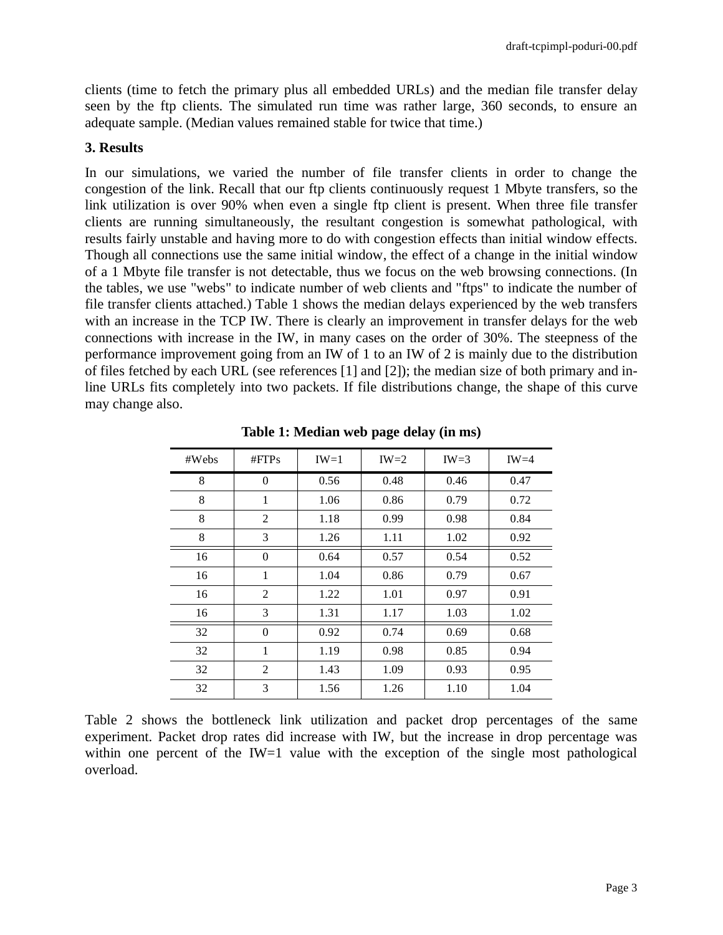clients (time to fetch the primary plus all embedded URLs) and the median file transfer delay seen by the ftp clients. The simulated run time was rather large, 360 seconds, to ensure an adequate sample. (Median values remained stable for twice that time.)

## **3. Results**

In our simulations, we varied the number of file transfer clients in order to change the congestion of the link. Recall that our ftp clients continuously request 1 Mbyte transfers, so the link utilization is over 90% when even a single ftp client is present. When three file transfer clients are running simultaneously, the resultant congestion is somewhat pathological, with results fairly unstable and having more to do with congestion effects than initial window effects. Though all connections use the same initial window, the effect of a change in the initial window of a 1 Mbyte file transfer is not detectable, thus we focus on the web browsing connections. (In the tables, we use "webs" to indicate number of web clients and "ftps" to indicate the number of file transfer clients attached.) Table 1 shows the median delays experienced by the web transfers with an increase in the TCP IW. There is clearly an improvement in transfer delays for the web connections with increase in the IW, in many cases on the order of 30%. The steepness of the performance improvement going from an IW of 1 to an IW of 2 is mainly due to the distribution of files fetched by each URL (see references [1] and [2]); the median size of both primary and inline URLs fits completely into two packets. If file distributions change, the shape of this curve may change also.

| #Webs | #FTPs          | $IW=1$ | $IW=2$ | $IW=3$ | $IW=4$ |
|-------|----------------|--------|--------|--------|--------|
| 8     | $\Omega$       | 0.56   | 0.48   | 0.46   | 0.47   |
| 8     | 1              | 1.06   | 0.86   | 0.79   | 0.72   |
| 8     | $\overline{2}$ | 1.18   | 0.99   | 0.98   | 0.84   |
| 8     | 3              | 1.26   | 1.11   | 1.02   | 0.92   |
| 16    | $\Omega$       | 0.64   | 0.57   | 0.54   | 0.52   |
| 16    | 1              | 1.04   | 0.86   | 0.79   | 0.67   |
| 16    | $\overline{2}$ | 1.22   | 1.01   | 0.97   | 0.91   |
| 16    | 3              | 1.31   | 1.17   | 1.03   | 1.02   |
| 32    | $\theta$       | 0.92   | 0.74   | 0.69   | 0.68   |
| 32    | $\mathbf{1}$   | 1.19   | 0.98   | 0.85   | 0.94   |
| 32    | 2              | 1.43   | 1.09   | 0.93   | 0.95   |
| 32    | 3              | 1.56   | 1.26   | 1.10   | 1.04   |

**Table 1: Median web page delay (in ms)**

Table 2 shows the bottleneck link utilization and packet drop percentages of the same experiment. Packet drop rates did increase with IW, but the increase in drop percentage was within one percent of the IW=1 value with the exception of the single most pathological overload.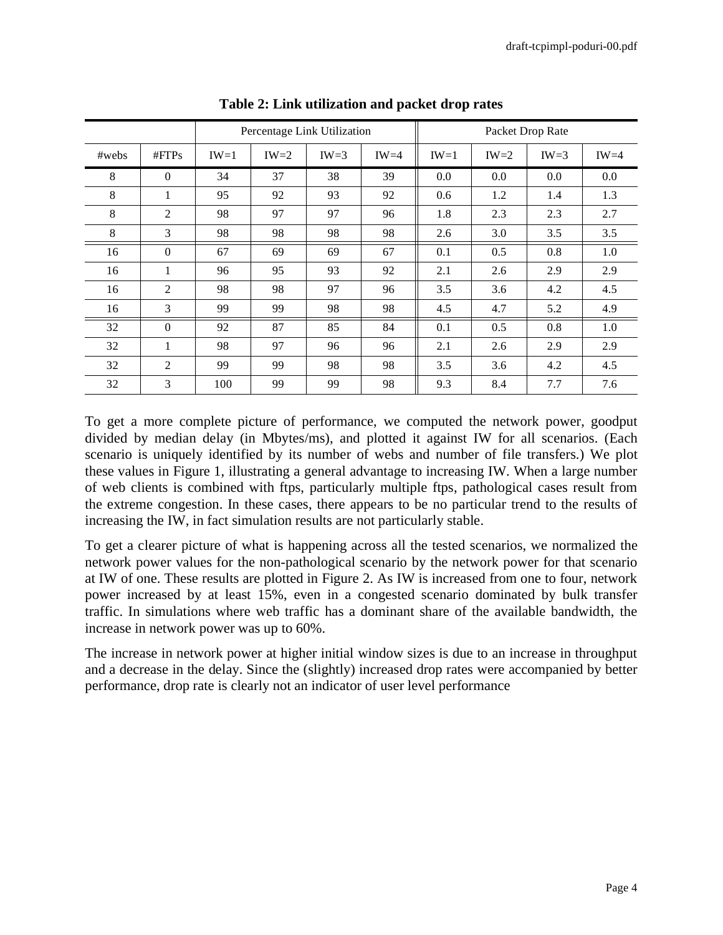|       |                | Percentage Link Utilization |        |        |        | Packet Drop Rate |        |        |         |
|-------|----------------|-----------------------------|--------|--------|--------|------------------|--------|--------|---------|
| #webs | #FTPs          | $IW=1$                      | $IW=2$ | $IW=3$ | $IW=4$ | $IW=1$           | $IW=2$ | $IW=3$ | $IW=4$  |
| 8     | $\Omega$       | 34                          | 37     | 38     | 39     | 0.0              | 0.0    | 0.0    | $0.0\,$ |
| 8     | 1              | 95                          | 92     | 93     | 92     | 0.6              | 1.2    | 1.4    | 1.3     |
| 8     | $\overline{2}$ | 98                          | 97     | 97     | 96     | 1.8              | 2.3    | 2.3    | 2.7     |
| 8     | 3              | 98                          | 98     | 98     | 98     | 2.6              | 3.0    | 3.5    | 3.5     |
| 16    | $\theta$       | 67                          | 69     | 69     | 67     | 0.1              | 0.5    | 0.8    | 1.0     |
| 16    | 1              | 96                          | 95     | 93     | 92     | 2.1              | 2.6    | 2.9    | 2.9     |
| 16    | $\overline{2}$ | 98                          | 98     | 97     | 96     | 3.5              | 3.6    | 4.2    | 4.5     |
| 16    | 3              | 99                          | 99     | 98     | 98     | 4.5              | 4.7    | 5.2    | 4.9     |
| 32    | $\theta$       | 92                          | 87     | 85     | 84     | 0.1              | 0.5    | 0.8    | 1.0     |
| 32    | 1              | 98                          | 97     | 96     | 96     | 2.1              | 2.6    | 2.9    | 2.9     |
| 32    | $\overline{2}$ | 99                          | 99     | 98     | 98     | 3.5              | 3.6    | 4.2    | 4.5     |
| 32    | 3              | 100                         | 99     | 99     | 98     | 9.3              | 8.4    | 7.7    | 7.6     |

**Table 2: Link utilization and packet drop rates**

To get a more complete picture of performance, we computed the network power, goodput divided by median delay (in Mbytes/ms), and plotted it against IW for all scenarios. (Each scenario is uniquely identified by its number of webs and number of file transfers.) We plot these values in Figure 1, illustrating a general advantage to increasing IW. When a large number of web clients is combined with ftps, particularly multiple ftps, pathological cases result from the extreme congestion. In these cases, there appears to be no particular trend to the results of increasing the IW, in fact simulation results are not particularly stable.

To get a clearer picture of what is happening across all the tested scenarios, we normalized the network power values for the non-pathological scenario by the network power for that scenario at IW of one. These results are plotted in Figure 2. As IW is increased from one to four, network power increased by at least 15%, even in a congested scenario dominated by bulk transfer traffic. In simulations where web traffic has a dominant share of the available bandwidth, the increase in network power was up to 60%.

The increase in network power at higher initial window sizes is due to an increase in throughput and a decrease in the delay. Since the (slightly) increased drop rates were accompanied by better performance, drop rate is clearly not an indicator of user level performance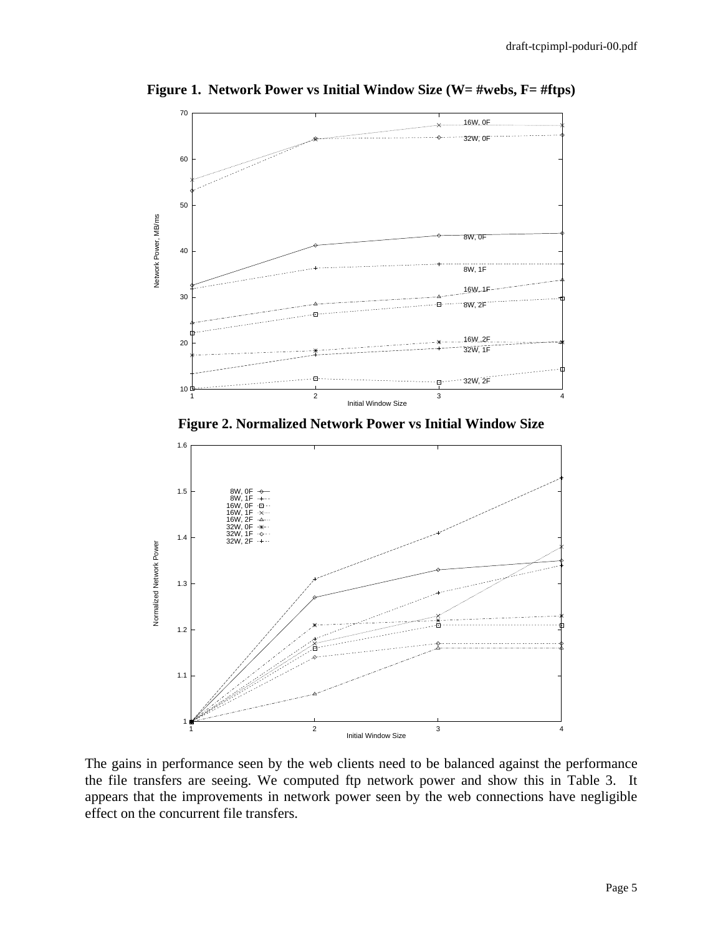

**Figure 1. Network Power vs Initial Window Size (W= #webs, F= #ftps)**

**Figure 2. Normalized Network Power vs Initial Window Size**



The gains in performance seen by the web clients need to be balanced against the performance the file transfers are seeing. We computed ftp network power and show this in Table 3. It appears that the improvements in network power seen by the web connections have negligible effect on the concurrent file transfers.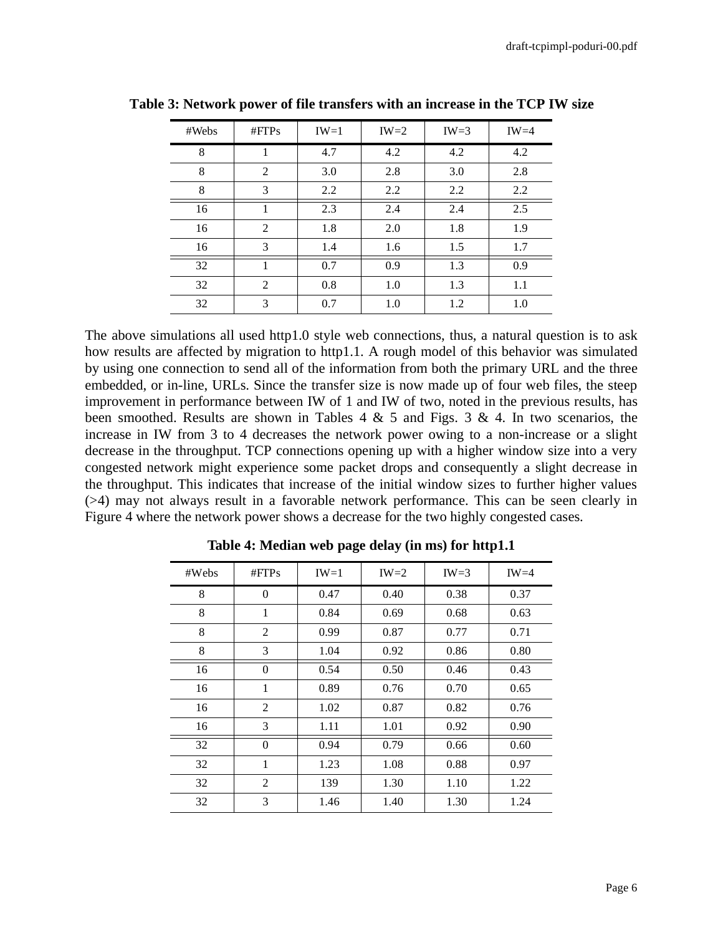| #Webs | #FTPs          | $IW=1$ | $IW=2$ | $IW=3$ | $IW=4$ |
|-------|----------------|--------|--------|--------|--------|
| 8     |                | 4.7    | 4.2    | 4.2    | 4.2    |
| 8     | $\overline{2}$ | 3.0    | 2.8    | 3.0    | 2.8    |
| 8     | 3              | 2.2    | 2.2    | 2.2    | 2.2    |
| 16    |                | 2.3    | 2.4    | 2.4    | 2.5    |
| 16    | $\overline{2}$ | 1.8    | 2.0    | 1.8    | 1.9    |
| 16    | 3              | 1.4    | 1.6    | 1.5    | 1.7    |
| 32    |                | 0.7    | 0.9    | 1.3    | 0.9    |
| 32    | 2              | 0.8    | 1.0    | 1.3    | 1.1    |
| 32    | 3              | 0.7    | 1.0    | 1.2    | 1.0    |

**Table 3: Network power of file transfers with an increase in the TCP IW size**

The above simulations all used http1.0 style web connections, thus, a natural question is to ask how results are affected by migration to http1.1. A rough model of this behavior was simulated by using one connection to send all of the information from both the primary URL and the three embedded, or in-line, URLs. Since the transfer size is now made up of four web files, the steep improvement in performance between IW of 1 and IW of two, noted in the previous results, has been smoothed. Results are shown in Tables  $4 \& 5$  and Figs.  $3 \& 4$ . In two scenarios, the increase in IW from 3 to 4 decreases the network power owing to a non-increase or a slight decrease in the throughput. TCP connections opening up with a higher window size into a very congested network might experience some packet drops and consequently a slight decrease in the throughput. This indicates that increase of the initial window sizes to further higher values (>4) may not always result in a favorable network performance. This can be seen clearly in Figure 4 where the network power shows a decrease for the two highly congested cases.

| #Webs | #FTPs          | $IW=1$ | $IW=2$ | $IW=3$ | $IW=4$ |
|-------|----------------|--------|--------|--------|--------|
| 8     | $\theta$       | 0.47   | 0.40   | 0.38   | 0.37   |
| 8     | $\mathbf{1}$   | 0.84   | 0.69   | 0.68   | 0.63   |
| 8     | $\overline{2}$ | 0.99   | 0.87   | 0.77   | 0.71   |
| 8     | 3              | 1.04   | 0.92   | 0.86   | 0.80   |
| 16    | $\overline{0}$ | 0.54   | 0.50   | 0.46   | 0.43   |
| 16    | 1              | 0.89   | 0.76   | 0.70   | 0.65   |
| 16    | $\overline{2}$ | 1.02   | 0.87   | 0.82   | 0.76   |
| 16    | 3              | 1.11   | 1.01   | 0.92   | 0.90   |
| 32    | $\overline{0}$ | 0.94   | 0.79   | 0.66   | 0.60   |
| 32    | 1              | 1.23   | 1.08   | 0.88   | 0.97   |
| 32    | 2              | 139    | 1.30   | 1.10   | 1.22   |
| 32    | 3              | 1.46   | 1.40   | 1.30   | 1.24   |

**Table 4: Median web page delay (in ms) for http1.1**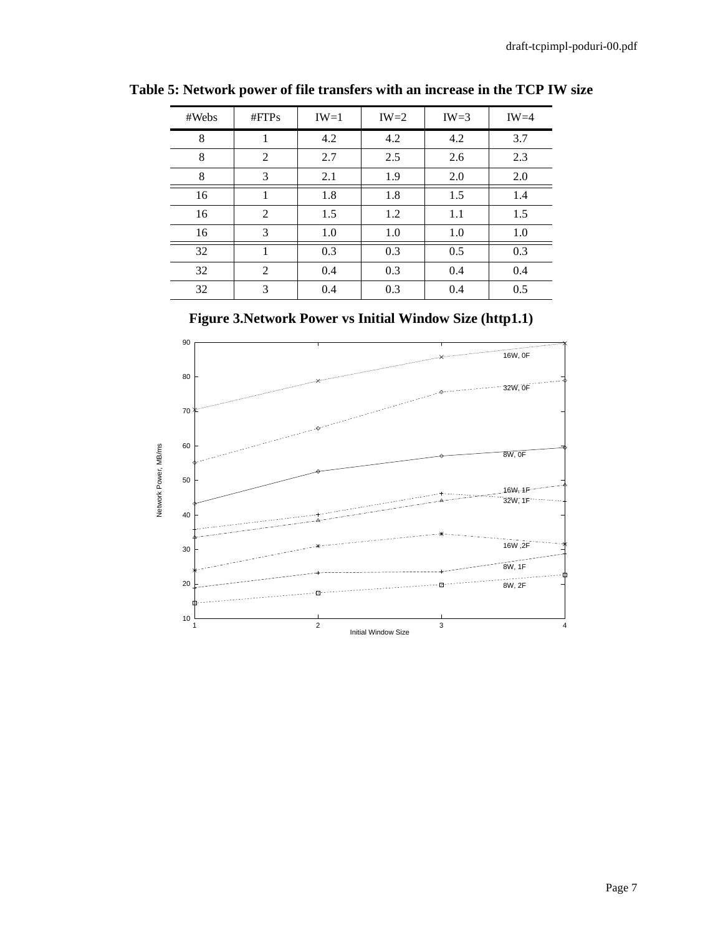| #Webs | #FTPs          | $IW=1$ | $IW=2$ | $IW=3$ | $IW=4$ |
|-------|----------------|--------|--------|--------|--------|
| 8     | 1              | 4.2    | 4.2    | 4.2    | 3.7    |
| 8     | 2              | 2.7    | 2.5    | 2.6    | 2.3    |
| 8     | 3              | 2.1    | 1.9    | 2.0    | 2.0    |
| 16    | 1              | 1.8    | 1.8    | 1.5    | 1.4    |
| 16    | $\overline{2}$ | 1.5    | 1.2    | 1.1    | 1.5    |
| 16    | 3              | 1.0    | 1.0    | 1.0    | 1.0    |
| 32    |                | 0.3    | 0.3    | 0.5    | 0.3    |
| 32    | 2              | 0.4    | 0.3    | 0.4    | 0.4    |
| 32    | 3              | 0.4    | 0.3    | 0.4    | 0.5    |

**Table 5: Network power of file transfers with an increase in the TCP IW size**

**Figure 3.Network Power vs Initial Window Size (http1.1)**

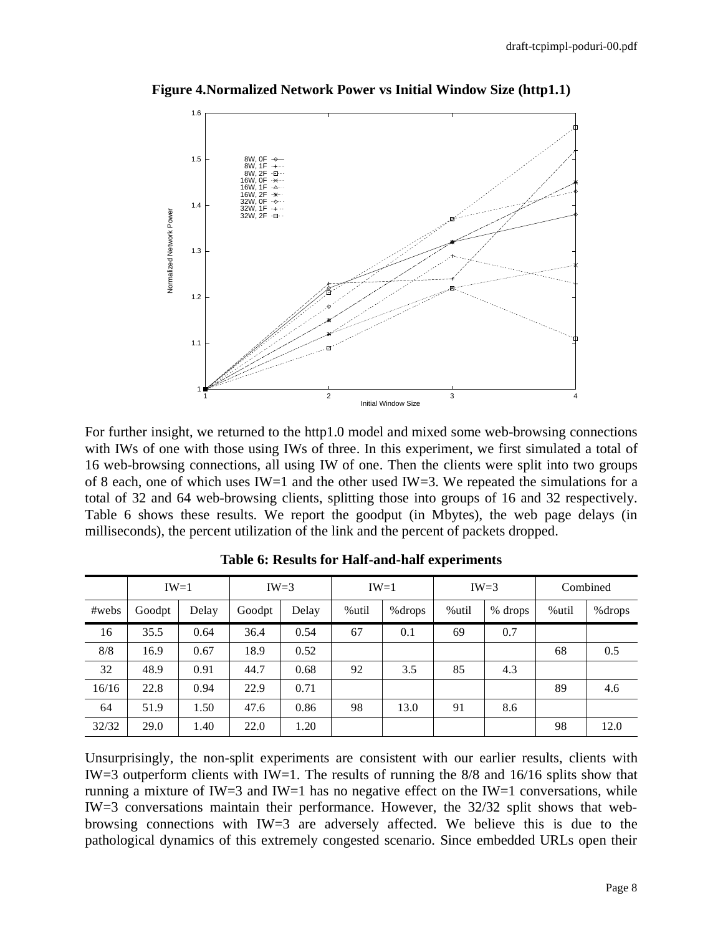

**Figure 4.Normalized Network Power vs Initial Window Size (http1.1)**

For further insight, we returned to the http1.0 model and mixed some web-browsing connections with IWs of one with those using IWs of three. In this experiment, we first simulated a total of 16 web-browsing connections, all using IW of one. Then the clients were split into two groups of 8 each, one of which uses IW=1 and the other used IW=3. We repeated the simulations for a total of 32 and 64 web-browsing clients, splitting those into groups of 16 and 32 respectively. Table 6 shows these results. We report the goodput (in Mbytes), the web page delays (in milliseconds), the percent utilization of the link and the percent of packets dropped.

|       | $IW=3$<br>$IW=1$ |       |        | $IW=1$ |       | $IW=3$  |       | Combined |       |         |
|-------|------------------|-------|--------|--------|-------|---------|-------|----------|-------|---------|
| #webs | Goodpt           | Delay | Goodpt | Delay  | %util | % drops | %util | % drops  | %util | % drops |
| 16    | 35.5             | 0.64  | 36.4   | 0.54   | 67    | 0.1     | 69    | 0.7      |       |         |
| 8/8   | 16.9             | 0.67  | 18.9   | 0.52   |       |         |       |          | 68    | 0.5     |
| 32    | 48.9             | 0.91  | 44.7   | 0.68   | 92    | 3.5     | 85    | 4.3      |       |         |
| 16/16 | 22.8             | 0.94  | 22.9   | 0.71   |       |         |       |          | 89    | 4.6     |
| 64    | 51.9             | 1.50  | 47.6   | 0.86   | 98    | 13.0    | 91    | 8.6      |       |         |
| 32/32 | 29.0             | 1.40  | 22.0   | 1.20   |       |         |       |          | 98    | 12.0    |

**Table 6: Results for Half-and-half experiments**

Unsurprisingly, the non-split experiments are consistent with our earlier results, clients with IW=3 outperform clients with IW=1. The results of running the  $8/8$  and  $16/16$  splits show that running a mixture of IW=3 and IW=1 has no negative effect on the IW=1 conversations, while IW=3 conversations maintain their performance. However, the 32/32 split shows that webbrowsing connections with IW=3 are adversely affected. We believe this is due to the pathological dynamics of this extremely congested scenario. Since embedded URLs open their